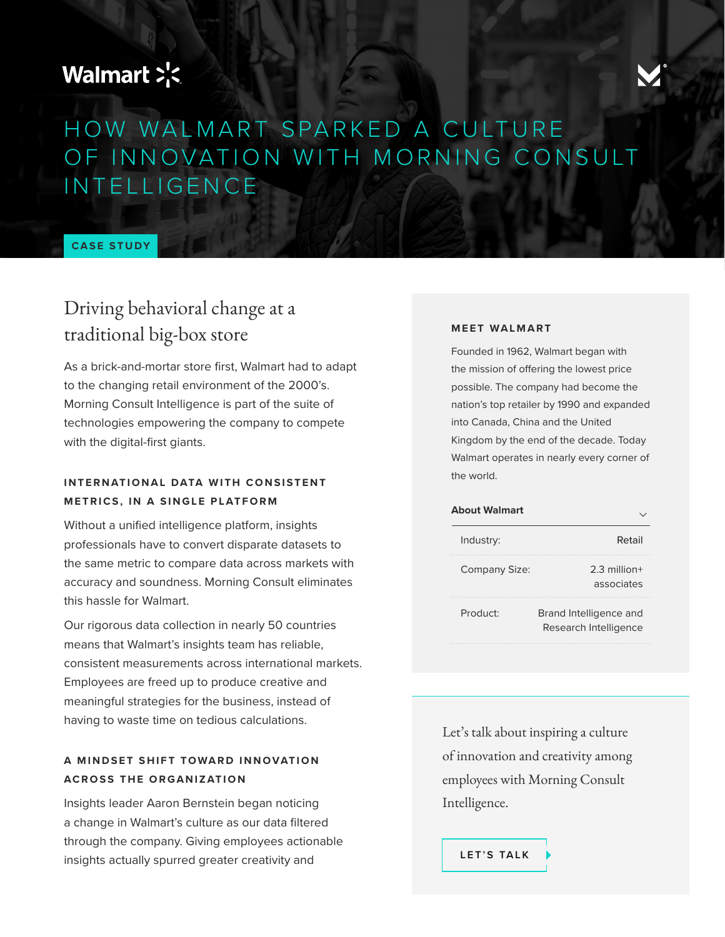# Walmart >'<



# HOW WALMART SPARKED A CULTURE OF INNOVATION WITH MORNING CONSULT INTELLIGENCE

**CASE STUDY**

## Driving behavioral change at a traditional big-box store

As a brick-and-mortar store first, Walmart had to adapt to the changing retail environment of the 2000's. Morning Consult Intelligence is part of the suite of technologies empowering the company to compete with the digital-first giants.

### **INTERNATIONAL DATA WITH CONSISTENT METRICS, IN A SINGLE PLATFORM**

Without a unified intelligence platform, insights professionals have to convert disparate datasets to the same metric to compare data across markets with accuracy and soundness. Morning Consult eliminates this hassle for Walmart.

Our rigorous data collection in nearly 50 countries means that Walmart's insights team has reliable, consistent measurements across international markets. Employees are freed up to produce creative and meaningful strategies for the business, instead of having to waste time on tedious calculations.

### A MINDSET SHIFT TOWARD INNOVATION **ACROSS THE ORGANIZATION**

Insights leader Aaron Bernstein began noticing a change in Walmart's culture as our data filtered through the company. Giving employees actionable insights actually spurred greater creativity and

#### **MEET WALMART**

Founded in 1962, Walmart began with the mission of offering the lowest price possible. The company had become the nation's top retailer by 1990 and expanded into Canada, China and the United Kingdom by the end of the decade. Today Walmart operates in nearly every corner of the world.

| <b>About Walmart</b> |                                                 |
|----------------------|-------------------------------------------------|
| Industry:            | Retail                                          |
| Company Size:        | $2.3$ million+<br>associates                    |
| Product:             | Brand Intelligence and<br>Research Intelligence |

Let's talk about inspiring a culture of innovation and creativity among employees with Morning Consult Intelligence.

**[LET'S TALK](https://info.morningconsult.com/request-a-demo)**